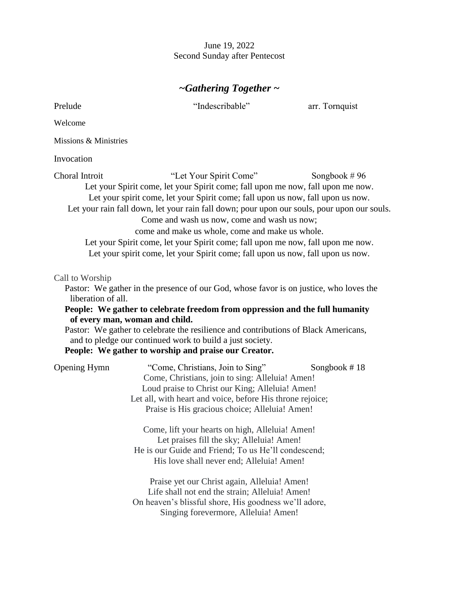June 19, 2022 Second Sunday after Pentecost

# *~Gathering Together ~*

Prelude "Indescribable" arr. Tornquist

Welcome

Missions & Ministries

**Invocation** 

Choral Introit "Let Your Spirit Come" Songbook # 96 Let your Spirit come, let your Spirit come; fall upon me now, fall upon me now. Let your spirit come, let your Spirit come; fall upon us now, fall upon us now. Let your rain fall down, let your rain fall down; pour upon our souls, pour upon our souls. Come and wash us now, come and wash us now; come and make us whole, come and make us whole. Let your Spirit come, let your Spirit come; fall upon me now, fall upon me now. Let your spirit come, let your Spirit come; fall upon us now, fall upon us now.

#### Call to Worship

Pastor: We gather in the presence of our God, whose favor is on justice, who loves the liberation of all.

### **People: We gather to celebrate freedom from oppression and the full humanity of every man, woman and child.**

Pastor: We gather to celebrate the resilience and contributions of Black Americans, and to pledge our continued work to build a just society.

### **People: We gather to worship and praise our Creator.**

| <b>Opening Hymn</b> | "Come, Christians, Join to Sing"                                                               | Songbook #18 |
|---------------------|------------------------------------------------------------------------------------------------|--------------|
|                     | Come, Christians, join to sing: Alleluia! Amen!                                                |              |
|                     | Loud praise to Christ our King; Alleluia! Amen!                                                |              |
|                     | Let all, with heart and voice, before His throne rejoice;                                      |              |
|                     | Praise is His gracious choice; Alleluia! Amen!                                                 |              |
|                     | Come, lift your hearts on high, Alleluia! Amen!<br>Let praises fill the sky; Alleluia! Amen!   |              |
|                     | He is our Guide and Friend; To us He'll condescend;                                            |              |
|                     | His love shall never end; Alleluia! Amen!                                                      |              |
|                     | Praise yet our Christ again, Alleluia! Amen!<br>Life shall not end the strain; Alleluia! Amen! |              |
|                     | On heaven's blissful shore, His goodness we'll adore,<br>Singing forevermore, Alleluia! Amen!  |              |
|                     |                                                                                                |              |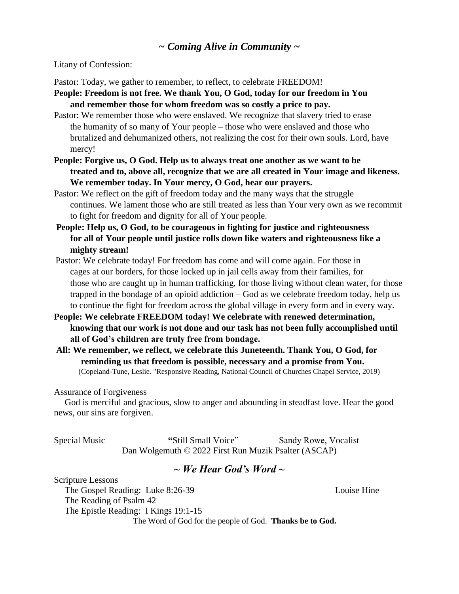# *~ Coming Alive in Community ~*

Litany of Confession:

Pastor: Today, we gather to remember, to reflect, to celebrate FREEDOM!

- **People: Freedom is not free. We thank You, O God, today for our freedom in You and remember those for whom freedom was so costly a price to pay.**
- Pastor: We remember those who were enslaved. We recognize that slavery tried to erase the humanity of so many of Your people – those who were enslaved and those who brutalized and dehumanized others, not realizing the cost for their own souls. Lord, have mercy!
- **People: Forgive us, O God. Help us to always treat one another as we want to be treated and to, above all, recognize that we are all created in Your image and likeness. We remember today. In Your mercy, O God, hear our prayers.**
- Pastor: We reflect on the gift of freedom today and the many ways that the struggle continues. We lament those who are still treated as less than Your very own as we recommit to fight for freedom and dignity for all of Your people.
- **People: Help us, O God, to be courageous in fighting for justice and righteousness for all of Your people until justice rolls down like waters and righteousness like a mighty stream!**
- Pastor: We celebrate today! For freedom has come and will come again. For those in cages at our borders, for those locked up in jail cells away from their families, for those who are caught up in human trafficking, for those living without clean water, for those trapped in the bondage of an opioid addiction – God as we celebrate freedom today, help us to continue the fight for freedom across the global village in every form and in every way.
- **People: We celebrate FREEDOM today! We celebrate with renewed determination, knowing that our work is not done and our task has not been fully accomplished until all of God's children are truly free from bondage.**
- **All: We remember, we reflect, we celebrate this Juneteenth. Thank You, O God, for reminding us that freedom is possible, necessary and a promise from You.**  (Copeland-Tune, Leslie. "Responsive Reading, National Council of Churches Chapel Service, 2019)

#### Assurance of Forgiveness

God is merciful and gracious, slow to anger and abounding in steadfast love. Hear the good news, our sins are forgiven.

| Special Music | "Still Small Voice"                                  | Sandy Rowe, Vocalist |
|---------------|------------------------------------------------------|----------------------|
|               | Dan Wolgemuth © 2022 First Run Muzik Psalter (ASCAP) |                      |

### *~ We Hear God's Word ~*

Scripture Lessons

The Gospel Reading: Luke 8:26-39 Louise Hine The Reading of Psalm 42 The Epistle Reading: I Kings 19:1-15 The Word of God for the people of God. **Thanks be to God.**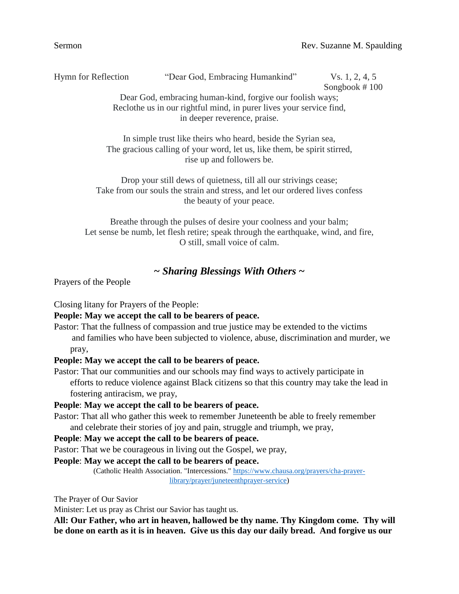Hymn for Reflection "Dear God, Embracing Humankind" Vs. 1, 2, 4, 5

Songbook # 100

Dear God, embracing human-kind, forgive our foolish ways; Reclothe us in our rightful mind, in purer lives your service find, in deeper reverence, praise.

In simple trust like theirs who heard, beside the Syrian sea, The gracious calling of your word, let us, like them, be spirit stirred, rise up and followers be.

Drop your still dews of quietness, till all our strivings cease; Take from our souls the strain and stress, and let our ordered lives confess the beauty of your peace.

Breathe through the pulses of desire your coolness and your balm; Let sense be numb, let flesh retire; speak through the earthquake, wind, and fire, O still, small voice of calm.

# *~ Sharing Blessings With Others ~*

Prayers of the People

Closing litany for Prayers of the People:

**People: May we accept the call to be bearers of peace.**

Pastor: That the fullness of compassion and true justice may be extended to the victims and families who have been subjected to violence, abuse, discrimination and murder, we pray,

**People: May we accept the call to be bearers of peace.**

Pastor: That our communities and our schools may find ways to actively participate in efforts to reduce violence against Black citizens so that this country may take the lead in fostering antiracism, we pray,

**People**: **May we accept the call to be bearers of peace.**

Pastor: That all who gather this week to remember Juneteenth be able to freely remember and celebrate their stories of joy and pain, struggle and triumph, we pray,

**People**: **May we accept the call to be bearers of peace.** 

Pastor: That we be courageous in living out the Gospel, we pray,

**People**: **May we accept the call to be bearers of peace.**

(Catholic Health Association. "Intercessions." [https://www.chausa.org/prayers/cha-prayer](https://www.chausa.org/prayers/cha-prayer-library/prayer/juneteenthprayer-service)[library/prayer/juneteenthprayer-service\)](https://www.chausa.org/prayers/cha-prayer-library/prayer/juneteenthprayer-service)

The Prayer of Our Savior

Minister: Let us pray as Christ our Savior has taught us.

**All: Our Father, who art in heaven, hallowed be thy name. Thy Kingdom come. Thy will be done on earth as it is in heaven. Give us this day our daily bread. And forgive us our**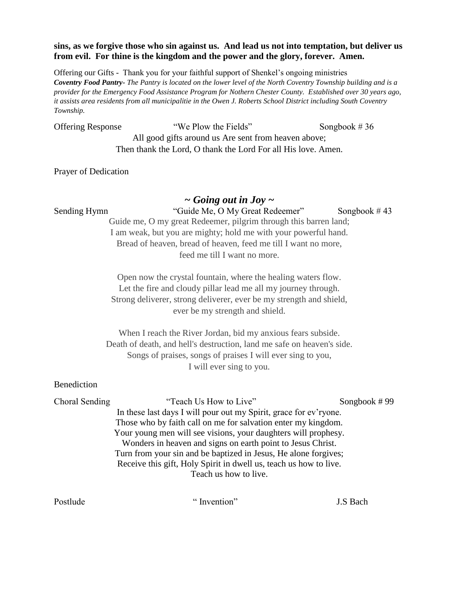### **sins, as we forgive those who sin against us. And lead us not into temptation, but deliver us from evil. For thine is the kingdom and the power and the glory, forever. Amen.**

Offering our Gifts - Thank you for your faithful support of Shenkel's ongoing ministries *Coventry Food Pantry- The Pantry is located on the lower level of the North Coventry Township building and is a provider for the Emergency Food Assistance Program for Nothern Chester County. Established over 30 years ago, it assists area residents from all municipalitie in the Owen J. Roberts School District including South Coventry Township.*

Offering Response "We Plow the Fields" Songbook # 36

All good gifts around us Are sent from heaven above; Then thank the Lord, O thank the Lord For all His love. Amen.

Prayer of Dedication

*~ Going out in Joy ~*

Sending Hymn "Guide Me, O My Great Redeemer" Songbook # 43 Guide me, O my great Redeemer, pilgrim through this barren land; I am weak, but you are mighty; hold me with your powerful hand. Bread of heaven, bread of heaven, feed me till I want no more, feed me till I want no more.

> Open now the crystal fountain, where the healing waters flow. Let the fire and cloudy pillar lead me all my journey through. Strong deliverer, strong deliverer, ever be my strength and shield, ever be my strength and shield.

When I reach the River Jordan, bid my anxious fears subside. Death of death, and hell's destruction, land me safe on heaven's side. Songs of praises, songs of praises I will ever sing to you, I will ever sing to you.

### Benediction

Choral Sending "Teach Us How to Live" Songbook # 99 In these last days I will pour out my Spirit, grace for ev'ryone. Those who by faith call on me for salvation enter my kingdom. Your young men will see visions, your daughters will prophesy. Wonders in heaven and signs on earth point to Jesus Christ. Turn from your sin and be baptized in Jesus, He alone forgives; Receive this gift, Holy Spirit in dwell us, teach us how to live. Teach us how to live.

Postlude " Invention" J.S Bach